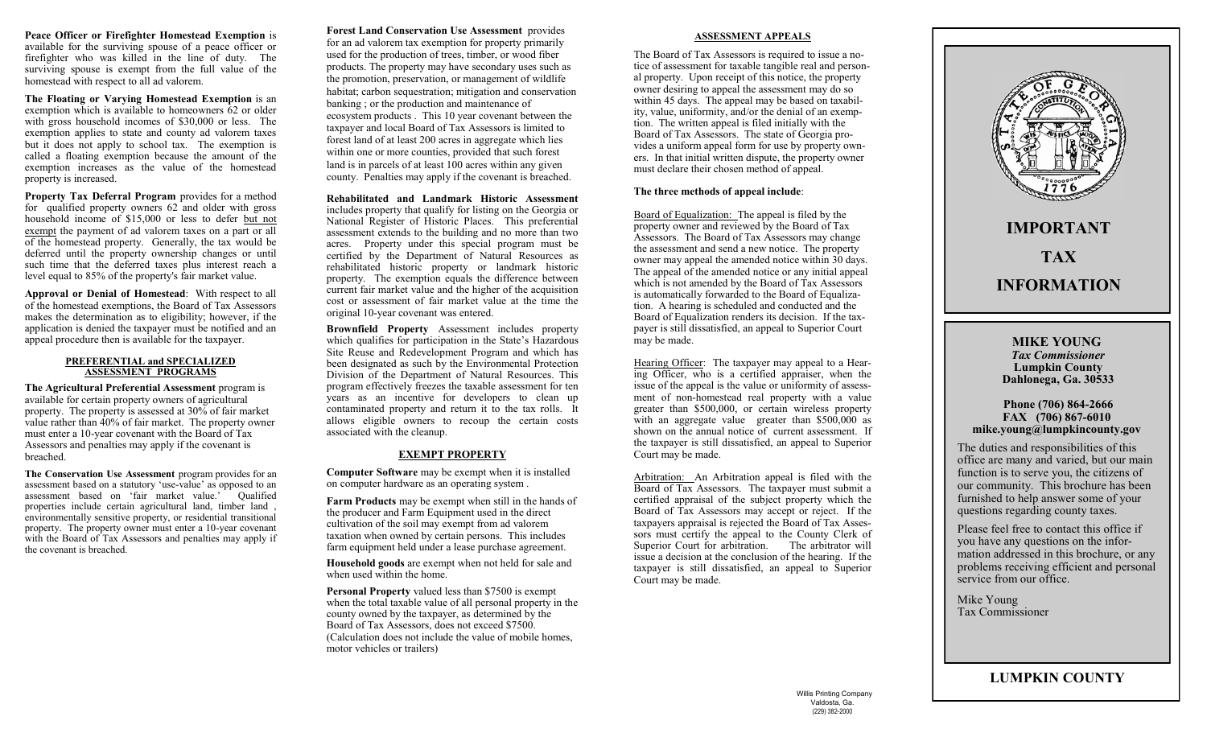**Peace Officer or Firefighter Homestead Exemption** is available for the surviving spouse of a peace officer or firefighter who was killed in the line of duty. The surviving spouse is exempt from the full value of the homestead with respect to all ad valorem.

**The Floating or Varying Homestead Exemption** is an exemption which is available to homeowners  $62$  or older with gross household incomes of \$30,000 or less. The exemption applies to state and county ad valorem taxes but it does not apply to school tax. The exemption is called a floating exemption because the amount of the exemption increases as the value of the homestead property is increased.

**Property Tax Deferral Program** provides for a method for qualified property owners 62 and older with gross household income of \$15,000 or less to defer but not exempt the payment of ad valorem taxes on a part or all of the homestead property. Generally, the tax would be deferred until the property ownership changes or until such time that the deferred taxes plus interest reach a level equal to 85% of the property's fair market value.

**Approval or Denial of Homestead**: With respect to all of the homestead exemptions, the Board of Tax Assessors makes the determination as to eligibility; however, if the application is denied the taxpayer must be notified and an appeal procedure then is available for the taxpayer.

#### **PREFERENTIAL and SPECIALIZED ASSESSMENT PROGRAMS**

**The Agricultural Preferential Assessment** program is available for certain property owners of agricultural property. The property is assessed at 30% of fair market value rather than 40% of fair market. The property owner must enter a 10-year covenant with the Board of Tax Assessors and penalties may apply if the covenant is breached.

**The Conservation Use Assessment** program provides for an assessment based on a statutory 'use-value' as opposed to an assessment based on 'fair market value.' Oualified properties include certain agricultural land, timber land , environmentally sensitive property, or residential transitional property. The property owner must enter a 10-year covenant with the Board of Tax Assessors and penalties may apply if the covenant is breached.

**Forest Land Conservation Use Assessment** provides for an ad valorem tax exemption for property primarily used for the production of trees, timber, or wood fiber products. The property may have secondary uses such as the promotion, preservation, or management of wildlife habitat; carbon sequestration; mitigation and conservation banking ; or the production and maintenance of ecosystem products . This 10 year covenant between the taxpayer and local Board of Tax Assessors is limited to forest land of at least 200 acres in aggregate which lies within one or more counties, provided that such forest land is in parcels of at least 100 acres within any given county. Penalties may apply if the covenant is breached.

## **Rehabilitated and Landmark Historic Assessment**

includes property that qualify for listing on the Georgia or National Register of Historic Places. This preferential assessment extends to the building and no more than two acres. Property under this special program must be certified by the Department of Natural Resources as rehabilitated historic property or landmark historic property. The exemption equals the difference between current fair market value and the higher of the acquisition cost or assessment of fair market value at the time the original 10-year covenant was entered.

**Brownfield Property** Assessment includes property which qualifies for participation in the State's Hazardous Site Reuse and Redevelopment Program and which has been designated as such by the Environmental Protection Division of the Department of Natural Resources. This program effectively freezes the taxable assessment for ten years as an incentive for developers to clean up contaminated property and return it to the tax rolls. It allows eligible owners to recoup the certain costs associated with the cleanup.

# **EXEMPT PROPERTY**

**Computer Software** may be exempt when it is installed on computer hardware as an operating system .

**Farm Products** may be exempt when still in the hands of the producer and Farm Equipment used in the direct cultivation of the soil may exempt from ad valorem taxation when owned by certain persons. This includes farm equipment held under a lease purchase agreement.

**Household goods** are exempt when not held for sale and when used within the home.

**Personal Property** valued less than \$7500 is exempt when the total taxable value of all personal property in the county owned by the taxpayer, as determined by the Board of Tax Assessors, does not exceed \$7500. (Calculation does not include the value of mobile homes, motor vehicles or trailers)

## **ASSESSMENT APPEALS**

The Board of Tax Assessors is required to issue a notice of assessment for taxable tangible real and personal property. Upon receipt of this notice, the property owner desiring to appeal the assessment may do so within 45 days. The appeal may be based on taxability, value, uniformity, and/or the denial of an exemption. The written appeal is filed initially with the Board of Tax Assessors. The state of Georgia provides a uniform appeal form for use by property owners. In that initial written dispute, the property owner must declare their chosen method of appeal.

## **The three methods of appeal include**:

Board of Equalization: The appeal is filed by the property owner and reviewed by the Board of Tax Assessors. The Board of Tax Assessors may change the assessment and send a new notice. The property owner may appeal the amended notice within 30 days. The appeal of the amended notice or any initial appeal which is not amended by the Board of Tax Assessors is automatically forwarded to the Board of Equalization. A hearing is scheduled and conducted and the Board of Equalization renders its decision. If the taxpayer is still dissatisfied, an appeal to Superior Court may be made.

Hearing Officer: The taxpayer may appeal to a Hearing Officer, who is a certified appraiser, when the issue of the appeal is the value or uniformity of assessment of non-homestead real property with a value greater than \$500,000, or certain wireless property with an aggregate value greater than  $$500,000$  as shown on the annual notice of current assessment. If the taxpayer is still dissatisfied, an appeal to Superior Court may be made.

Arbitration: An Arbitration appeal is filed with the Board of Tax Assessors. The taxpayer must submit a certified appraisal of the subject property which the Board of Tax Assessors may accept or reject. If the taxpayers appraisal is rejected the Board of Tax Assessors must certify the appeal to the County Clerk of Superior Court for arbitration. The arbitrator will issue a decision at the conclusion of the hearing. If the taxpayer is still dissatisfied, an appeal to Superior Court may be made.



**LUMPKIN COUNTY**